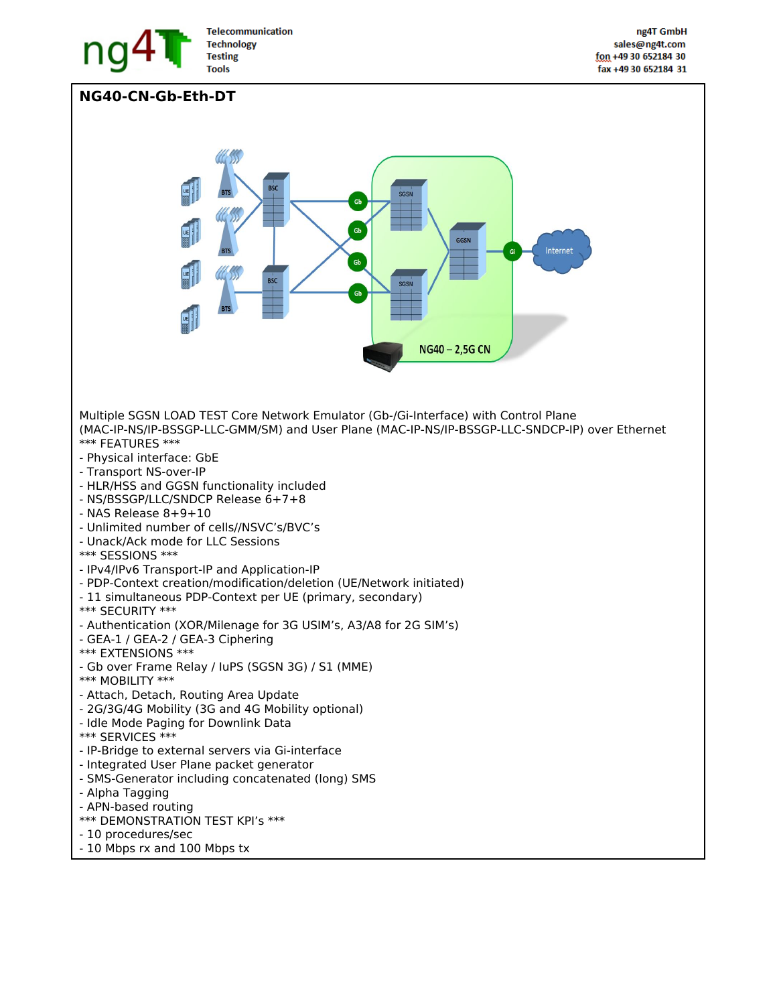

**NG40-CN-Gb-Eth-DT**

**Telecommunication Technology Testing** 



- NAS Release 8+9+10
- Unlimited number of cells//NSVC's/BVC's
- Unack/Ack mode for LLC Sessions
- \*\*\* SESSIONS \*\*\*
- IPv4/IPv6 Transport-IP and Application-IP
- PDP-Context creation/modification/deletion (UE/Network initiated)
- 11 simultaneous PDP-Context per UE (primary, secondary)
- \*\*\* SECURITY \*\*\*
- Authentication (XOR/Milenage for 3G USIM's, A3/A8 for 2G SIM's)
- GEA-1 / GEA-2 / GEA-3 Ciphering
- \*\*\* EXTENSIONS \*\*\*
- Gb over Frame Relay / IuPS (SGSN 3G) / S1 (MME)
- \*\*\* MOBILITY \*\*\*
- Attach, Detach, Routing Area Update
- 2G/3G/4G Mobility (3G and 4G Mobility optional)
- Idle Mode Paging for Downlink Data
- \*\*\* SERVICES \*\*\*
- IP-Bridge to external servers via Gi-interface
- Integrated User Plane packet generator
- SMS-Generator including concatenated (long) SMS
- Alpha Tagging
- APN-based routing
- \*\*\* DEMONSTRATION TEST KPI's \*\*\*
- 10 procedures/sec
- 10 Mbps rx and 100 Mbps tx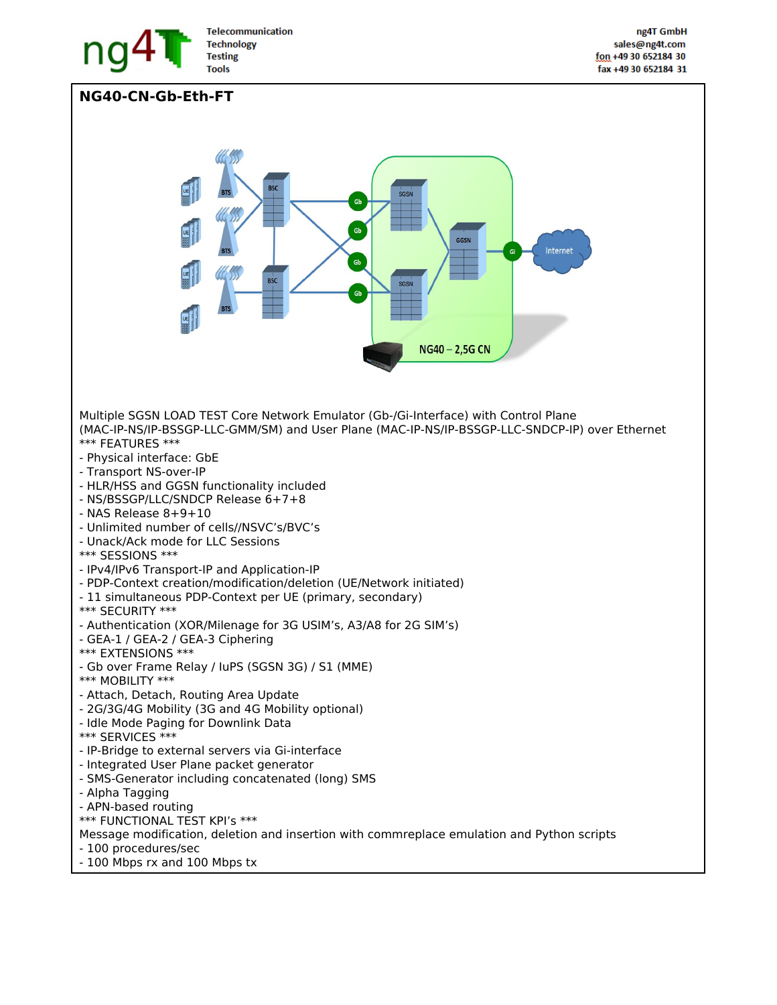

**NG40-CN-Gb-Eth-FT**

**Telecommunication Technology Testing** 



- Integrated User Plane packet generator
- SMS-Generator including concatenated (long) SMS
- Alpha Tagging
- APN-based routing
- \*\*\* FUNCTIONAL TEST KPI's \*\*\*
- Message modification, deletion and insertion with commreplace emulation and Python scripts
- 100 procedures/sec
- 100 Mbps rx and 100 Mbps tx